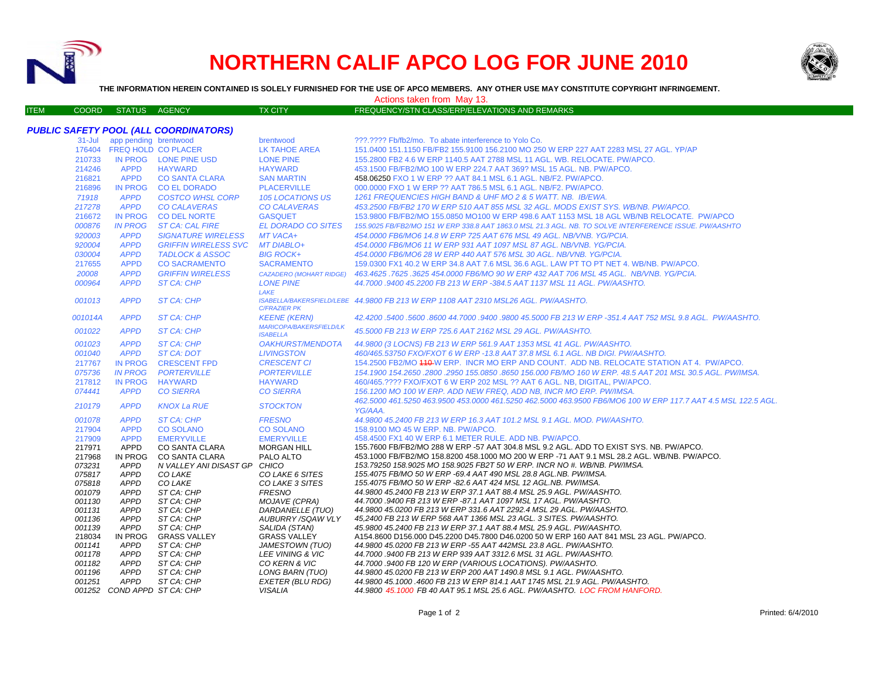

## **NORTHERN CALIF APCO LOG FOR JUNE 2010**



**THE INFORMATION HEREIN CONTAINED IS SOLELY FURNISHED FOR THE USE OF APCO MEMBERS. ANY OTHER USE MAY CONSTITUTE COPYRIGHT INFRINGEMENT.**

ITEM COORD STATUS AGENCY TX CITY FREQUENCY/STN CLASS/ERP/ELEVATIONS AND REMARKS

Actions taken from May 13.

## *PUBLIC SAFETY POOL (ALL COORDINATORS)*

|         | 31-Jul app pending brentwood |                              | brentwood                      | ???.???? Fb/fb2/mo. To abate interference to Yolo Co.                                                         |
|---------|------------------------------|------------------------------|--------------------------------|---------------------------------------------------------------------------------------------------------------|
|         | 176404 FREQ HOLD CO PLACER   |                              | LK TAHOE AREA                  | 151.0400 151.1150 FB/FB2 155.9100 156.2100 MO 250 W ERP 227 AAT 2283 MSL 27 AGL. YP/AP                        |
| 210733  |                              | IN PROG LONE PINE USD        | <b>LONE PINE</b>               | 155.2800 FB2 4.6 W ERP 1140.5 AAT 2788 MSL 11 AGL. WB. RELOCATE. PW/APCO.                                     |
| 214246  | <b>APPD</b>                  | <b>HAYWARD</b>               | <b>HAYWARD</b>                 | 453.1500 FB/FB2/MO 100 W ERP 224.7 AAT 369? MSL 15 AGL. NB. PW/APCO.                                          |
| 216821  | <b>APPD</b>                  | <b>CO SANTA CLARA</b>        | <b>SAN MARTIN</b>              | 458.06250 FXO 1 W ERP ?? AAT 84.1 MSL 6.1 AGL, NB/F2, PW/APCO.                                                |
| 216896  | <b>IN PROG</b>               | <b>CO EL DORADO</b>          | <b>PLACERVILLE</b>             | 000,0000 FXO 1 W ERP ?? AAT 786.5 MSL 6.1 AGL, NB/F2, PW/APCO.                                                |
| 71918   | <b>APPD</b>                  | <b>COSTCO WHSL CORP</b>      | 105 LOCATIONS US               | 1261 FREQUENCIES HIGH BAND & UHF MO 2 & 5 WATT, NB. IB/EWA.                                                   |
| 217278  | <b>APPD</b>                  | <b>CO CALAVERAS</b>          | <b>CO CALAVERAS</b>            | 453.2500 FB/FB2 170 W ERP 510 AAT 855 MSL 32 AGL. MODS EXIST SYS. WB/NB. PW/APCO.                             |
| 216672  | <b>IN PROG</b>               | CO DEL NORTE                 | <b>GASQUET</b>                 | 153.9800 FB/FB2/MO 155.0850 MO100 W ERP 498.6 AAT 1153 MSL 18 AGL WB/NB RELOCATE. PW/APCO                     |
| 000876  | <b>IN PROG</b>               | <b>ST CA: CAL FIRE</b>       | <b>EL DORADO CO SITES</b>      | 155.9025 FB/FB2/MO 151 W ERP 338.8 AAT 1863.0 MSL 21.3 AGL. NB. TO SOLVE INTERFERENCE ISSUE. PW/AASHTO        |
| 920003  | <b>APPD</b>                  | <b>SIGNATURE WIRELESS</b>    | MT VACA+                       | 454.0000 FB6/MO6 14.8 W ERP 725 AAT 676 MSL 49 AGL, NB/VNB, YG/PCIA.                                          |
| 920004  | <b>APPD</b>                  | <b>GRIFFIN WIRELESS SVC</b>  | <b>MT DIABLO+</b>              | 454,0000 FB6/MO6 11 W ERP 931 AAT 1097 MSL 87 AGL. NB/VNB. YG/PCIA.                                           |
| 030004  | <b>APPD</b>                  | <b>TADLOCK &amp; ASSOC</b>   | <b>BIG ROCK+</b>               | 454.0000 FB6/MO6 28 W ERP 440 AAT 576 MSL 30 AGL. NB/VNB. YG/PCIA.                                            |
| 217655  | <b>APPD</b>                  | <b>CO SACRAMENTO</b>         | <b>SACRAMENTO</b>              | 159.0300 FX1 40.2 W ERP 34.8 AAT 7.6 MSL 36.6 AGL. LAW PT TO PT NET 4. WB/NB. PW/APCO.                        |
| 20008   | <b>APPD</b>                  | <b>GRIFFIN WIRELESS</b>      | <b>CAZADERO (MOHART RIDGE)</b> | 463.4625 .7625 .3625 454.0000 FB6/MO 90 W ERP 432 AAT 706 MSL 45 AGL. NB/VNB. YG/PCIA.                        |
| 000964  | <b>APPD</b>                  | <b>ST CA: CHP</b>            | <b>LONE PINE</b>               | 44,7000 .9400 45,2200 FB 213 W ERP -384.5 AAT 1137 MSL 11 AGL. PW/AASHTO.                                     |
|         |                              |                              | LAKE                           |                                                                                                               |
| 001013  | <b>APPD</b>                  | ST CA: CHP                   |                                | ISABELLA/BAKERSFIELD/LEBE 44.9800 FB 213 W ERP 1108 AAT 2310 MSL26 AGL. PW/AASHTO.                            |
|         |                              |                              | <b>C/FRAZIER PK</b>            |                                                                                                               |
| 001014A | <b>APPD</b>                  | <b>ST CA: CHP</b>            | <b>KEENE (KERN)</b>            | 42.4200.5400.5600.8600 44.7000.9400.9800 45.5000 FB 213 W ERP -351.4 AAT 752 MSL 9.8 AGL. PW/AASHTO.          |
|         |                              |                              | <b>MARICOPA/BAKERSFIELD/LK</b> |                                                                                                               |
| 001022  | <b>APPD</b>                  | <b>ST CA: CHP</b>            | <b>ISABELLA</b>                | 45,5000 FB 213 W ERP 725.6 AAT 2162 MSL 29 AGL, PW/AASHTO.                                                    |
| 001023  | <b>APPD</b>                  | ST CA: CHP                   | <i><b>OAKHURST/MENDOTA</b></i> | 44.9800 (3 LOCNS) FB 213 W ERP 561.9 AAT 1353 MSL 41 AGL. PW/AASHTO.                                          |
| 001040  | <b>APPD</b>                  | ST CA: DOT                   | <b>LIVINGSTON</b>              | 460/465.53750 FXO/FXOT 6 W ERP -13.8 AAT 37.8 MSL 6.1 AGL. NB DIGI. PW/AASHTO.                                |
| 217767  | <b>IN PROG</b>               | <b>CRESCENT FPD</b>          | <b>CRESCENT CI</b>             | 154.2500 FB2/MO 440 W ERP. INCR MO ERP AND COUNT. ADD NB. RELOCATE STATION AT 4. PW/APCO.                     |
| 075736  | <b>IN PROG</b>               | <b>PORTERVILLE</b>           | <b>PORTERVILLE</b>             | 154.1900 154.2650 .2800 .2950 155.0850 .8650 156.000 FB/MO 160 W ERP. 48.5 AAT 201 MSL 30.5 AGL. PW/IMSA.     |
| 217812  | <b>IN PROG</b>               | <b>HAYWARD</b>               | <b>HAYWARD</b>                 | 460/465.???? FXO/FXOT 6 W ERP 202 MSL ?? AAT 6 AGL. NB, DIGITAL, PW/APCO.                                     |
| 074441  | <b>APPD</b>                  | <b>CO SIERRA</b>             | <b>CO SIERRA</b>               | 156.1200 MO 100 W ERP. ADD NEW FREQ. ADD NB. INCR MO ERP. PW/IMSA.                                            |
|         |                              |                              |                                | 462.5000 461.5250 463.9500 453.0000 461.5250 462.5000 463.9500 FB6/MO6 100 W ERP 117.7 AAT 4.5 MSL 122.5 AGL. |
| 210179  | <b>APPD</b>                  | <b>KNOX La RUE</b>           | <b>STOCKTON</b>                | YG/AAA.                                                                                                       |
| 001078  | <b>APPD</b>                  | <b>ST CA: CHP</b>            | <b>FRESNO</b>                  | 44,9800 45,2400 FB 213 W ERP 16.3 AAT 101.2 MSL 9.1 AGL, MOD, PW/AASHTO,                                      |
| 217904  | <b>APPD</b>                  | <b>CO SOLANO</b>             | <b>CO SOLANO</b>               | 158,9100 MO 45 W ERP. NB. PW/APCO.                                                                            |
| 217909  | <b>APPD</b>                  | <b>EMERYVILLE</b>            | <b>EMERYVILLE</b>              | 458.4500 FX1 40 W ERP 6.1 METER RULE, ADD NB, PW/APCO.                                                        |
| 217971  | <b>APPD</b>                  | <b>CO SANTA CLARA</b>        | <b>MORGAN HILL</b>             | 155.7600 FB/FB2/MO 288 W ERP -57 AAT 304.8 MSL 9.2 AGL. ADD TO EXIST SYS. NB. PW/APCO.                        |
| 217968  | IN PROG                      | CO SANTA CLARA               | PALO ALTO                      | 453.1000 FB/FB2/MO 158.8200 458.1000 MO 200 W ERP -71 AAT 9.1 MSL 28.2 AGL. WB/NB. PW/APCO.                   |
| 073231  | <b>APPD</b>                  | N VALLEY ANI DISAST GP CHICO |                                | 153.79250 158.9025 MO 158.9025 FB2T 50 W ERP. INCR NO #. WB/NB. PW/IMSA.                                      |
| 075817  | <b>APPD</b>                  | CO LAKE                      | CO LAKE 6 SITES                | 155.4075 FB/MO 50 W ERP -69.4 AAT 490 MSL 28.8 AGL.NB. PW/IMSA.                                               |
| 075818  | <b>APPD</b>                  | CO LAKE                      | CO LAKE 3 SITES                | 155.4075 FB/MO 50 W ERP -82.6 AAT 424 MSL 12 AGL.NB. PW/IMSA.                                                 |
| 001079  | <b>APPD</b>                  | ST CA: CHP                   | <b>FRESNO</b>                  | 44.9800 45.2400 FB 213 W ERP 37.1 AAT 88.4 MSL 25.9 AGL. PW/AASHTO.                                           |
| 001130  | <b>APPD</b>                  | ST CA: CHP                   | MOJAVE (CPRA)                  | 44.7000 .9400 FB 213 W ERP -87.1 AAT 1097 MSL 17 AGL. PW/AASHTO.                                              |
| 001131  | <b>APPD</b>                  | ST CA: CHP                   | DARDANELLE (TUO)               | 44.9800 45.0200 FB 213 W ERP 331.6 AAT 2292.4 MSL 29 AGL. PW/AASHTO.                                          |
| 001136  | <b>APPD</b>                  | ST CA: CHP                   | AUBURRY/SQAW VLY               | 45,2400 FB 213 W ERP 568 AAT 1366 MSL 23 AGL. 3 SITES. PW/AASHTO.                                             |
| 001139  | <b>APPD</b>                  | ST CA: CHP                   | SALIDA (STAN)                  | 45.9800 45.2400 FB 213 W ERP 37.1 AAT 88.4 MSL 25.9 AGL, PW/AASHTO.                                           |
| 218034  | IN PROG                      | <b>GRASS VALLEY</b>          | <b>GRASS VALLEY</b>            | A154.8600 D156.000 D45.2200 D45.7800 D46.0200 50 W ERP 160 AAT 841 MSL 23 AGL. PW/APCO.                       |
| 001141  | <b>APPD</b>                  | ST CA: CHP                   | JAMESTOWN (TUO)                | 44.9800 45.0200 FB 213 W ERP -55 AAT 442MSL 23.8 AGL. PW/AASHTO.                                              |
| 001178  | <b>APPD</b>                  | ST CA: CHP                   | LEE VINING & VIC               | 44.7000 .9400 FB 213 W ERP 939 AAT 3312.6 MSL 31 AGL. PW/AASHTO.                                              |
| 001182  | <b>APPD</b>                  | ST CA: CHP                   | CO KERN & VIC                  | 44.7000 .9400 FB 120 W ERP (VARIOUS LOCATIONS). PW/AASHTO.                                                    |
| 001196  | <b>APPD</b>                  | ST CA: CHP                   | LONG BARN (TUO)                | 44.9800 45.0200 FB 213 W ERP 200 AAT 1490.8 MSL 9.1 AGL. PW/AASHTO.                                           |
| 001251  | APPD                         | ST CA: CHP                   | EXETER (BLU RDG)               | 44.9800 45.1000 .4600 FB 213 W ERP 814.1 AAT 1745 MSL 21.9 AGL. PW/AASHTO.                                    |
|         | 001252 COND APPD ST CA: CHP  |                              | VISALIA                        | 44.9800 45.1000 FB 40 AAT 95.1 MSL 25.6 AGL. PW/AASHTO. LOC FROM HANFORD.                                     |